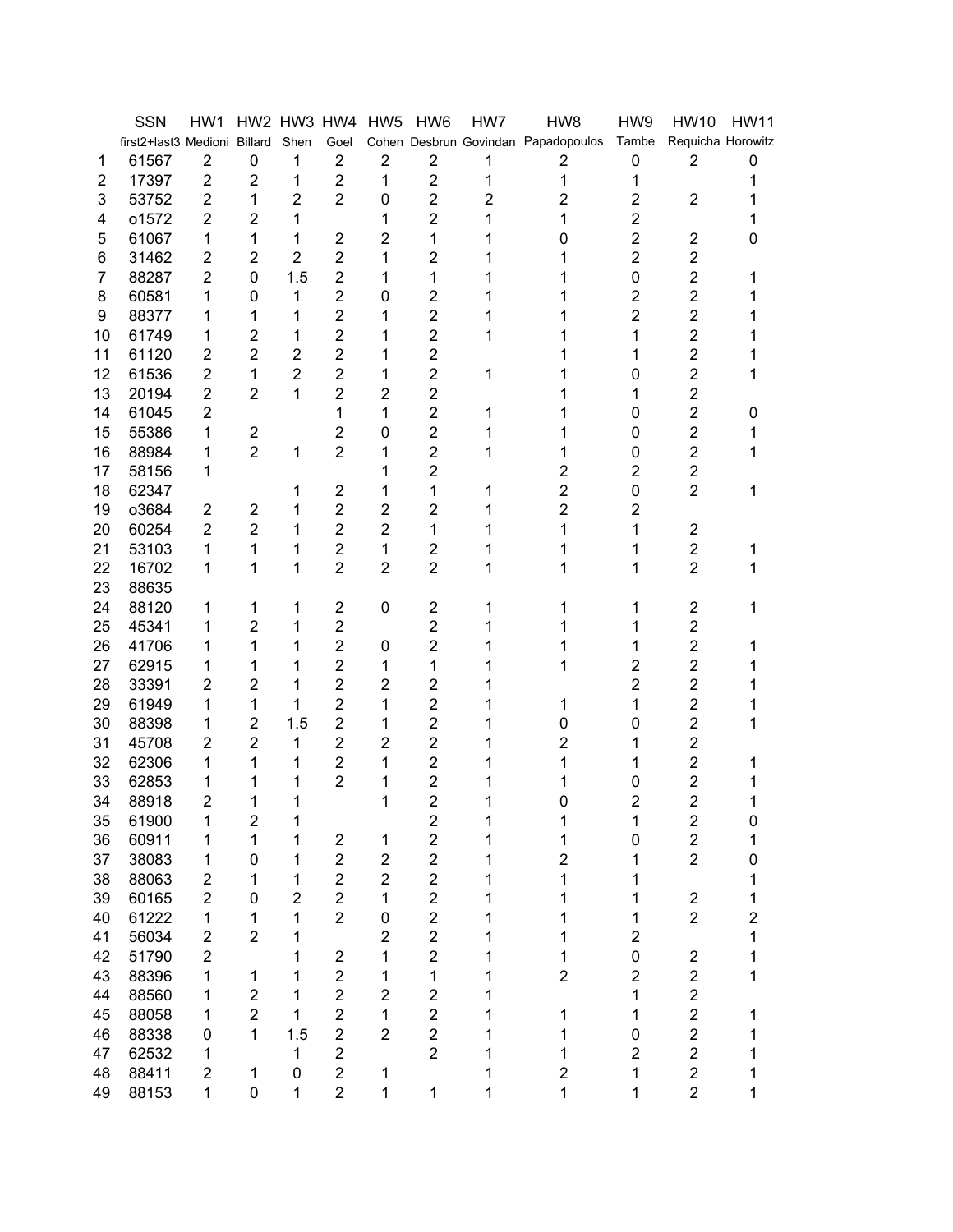|                | <b>SSN</b>                        | HW1 HW2 HW3 HW4 |                         |                |                         | HW5              | HW6                     | HW7            | HW8                                 | HW9              | <b>HW10</b>             | <b>HW11</b>             |
|----------------|-----------------------------------|-----------------|-------------------------|----------------|-------------------------|------------------|-------------------------|----------------|-------------------------------------|------------------|-------------------------|-------------------------|
|                | first2+last3 Medioni Billard Shen |                 |                         |                | Goel                    |                  |                         |                | Cohen Desbrun Govindan Papadopoulos | Tambe            | Requicha Horowitz       |                         |
| 1              | 61567                             | $\overline{2}$  | 0                       | 1              | $\overline{2}$          | $\overline{2}$   | $\overline{2}$          | 1              | 2                                   | 0                | 2                       | 0                       |
| $\overline{c}$ | 17397                             | $\overline{2}$  | $\overline{2}$          | 1              | $\overline{2}$          | 1                | $\overline{\mathbf{c}}$ | 1              | 1                                   | 1                |                         | 1                       |
| 3              | 53752                             | $\overline{2}$  | $\mathbf{1}$            | $\overline{2}$ | $\overline{2}$          | $\pmb{0}$        | $\overline{2}$          | $\overline{2}$ | $\overline{2}$                      | $\overline{2}$   | $\overline{2}$          | 1                       |
| 4              | o1572                             | $\overline{2}$  | $\overline{2}$          | 1              |                         | 1                | $\overline{2}$          | 1              | 1                                   | $\overline{2}$   |                         |                         |
| 5              | 61067                             | 1               | $\mathbf{1}$            | 1              | $\overline{2}$          | $\overline{2}$   | 1                       | 1              | 0                                   | $\overline{2}$   | $\overline{2}$          | 0                       |
| 6              | 31462                             | 2               | $\overline{2}$          | $\overline{2}$ | $\overline{2}$          | 1                | $\overline{2}$          | 1              | 1                                   | $\overline{2}$   | $\overline{2}$          |                         |
| 7              | 88287                             | $\overline{2}$  | 0                       | 1.5            | $\overline{2}$          | 1                | $\mathbf{1}$            | 1              | 1                                   | $\mathbf 0$      | $\overline{2}$          | 1                       |
| 8              | 60581                             | 1               | 0                       | 1              | $\overline{2}$          | 0                | $\overline{2}$          | 1              | 1                                   | $\overline{2}$   | $\mathbf 2$             | 1                       |
| 9              | 88377                             | 1               | 1                       | 1              | $\overline{2}$          | 1                | $\overline{2}$          | 1              | 1                                   | $\overline{2}$   | $\overline{2}$          | 1                       |
| 10             | 61749                             | 1               | $\overline{2}$          | 1              | $\overline{2}$          | 1                | $\overline{2}$          | 1              | 1                                   | 1                | $\overline{2}$          |                         |
| 11             | 61120                             | $\overline{2}$  | $\overline{2}$          | $\overline{2}$ | $\overline{2}$          | 1                | $\overline{2}$          |                | 1                                   | 1                | $\overline{2}$          |                         |
| 12             | 61536                             | $\overline{2}$  | $\mathbf{1}$            | $\overline{2}$ | $\overline{2}$          | 1                | $\overline{2}$          | 1              | 1                                   | 0                | $\overline{2}$          | 1                       |
| 13             | 20194                             | $\overline{2}$  | $\overline{2}$          | $\mathbf{1}$   | $\overline{2}$          | $\overline{2}$   | $\overline{2}$          |                | 1                                   | 1                | $\overline{2}$          |                         |
| 14             | 61045                             | $\overline{2}$  |                         |                | $\mathbf{1}$            | 1                | $\overline{2}$          | 1              | 1                                   | 0                | $\overline{2}$          | 0                       |
| 15             | 55386                             | 1               | $\overline{2}$          |                | $\overline{2}$          | 0                | $\overline{2}$          | 1              | 1                                   | $\mathbf{0}$     | $\overline{2}$          | 1                       |
| 16             | 88984                             | 1               | $\overline{2}$          | 1              | $\overline{2}$          | 1                | $\overline{2}$          | 1              | 1                                   | 0                | $\overline{2}$          | 1                       |
| 17             | 58156                             | 1               |                         |                |                         | 1                | $\overline{2}$          |                | $\overline{2}$                      | $\overline{2}$   | $\overline{2}$          |                         |
| 18             | 62347                             |                 |                         | 1              | $\overline{2}$          | 1                | $\mathbf{1}$            | 1              | $\overline{2}$                      | 0                | $\overline{2}$          | 1                       |
| 19             | 03684                             | $\overline{2}$  | $\overline{2}$          | 1              | $\overline{2}$          | $\mathbf{2}$     | $\overline{2}$          | 1              | $\overline{2}$                      | $\overline{2}$   |                         |                         |
| 20             | 60254                             | $\overline{2}$  | $\overline{2}$          | 1              | $\overline{2}$          | $\overline{2}$   | 1                       | 1              | 1                                   | $\mathbf{1}$     | $\overline{2}$          |                         |
| 21             | 53103                             | 1               | 1                       | 1              | $\overline{2}$          | $\mathbf{1}$     | $\overline{2}$          | 1              | 1                                   | 1                | $\overline{2}$          | 1                       |
| 22             | 16702                             | 1               | 1                       | 1              | $\overline{2}$          | $\overline{2}$   | $\overline{2}$          | 1              | 1                                   | 1                | $\overline{2}$          | 1                       |
| 23             | 88635                             |                 |                         |                |                         |                  |                         |                |                                     |                  |                         |                         |
|                | 88120                             |                 |                         | 1              | $\overline{2}$          |                  | $\overline{2}$          | 1              |                                     |                  | $\overline{2}$          |                         |
| 24             |                                   | 1               | 1<br>$\overline{2}$     |                | $\overline{2}$          | 0                | $\overline{2}$          |                | 1                                   | 1                |                         | 1                       |
| 25             | 45341                             | 1               |                         | 1              | $\overline{2}$          |                  | $\overline{2}$          | 1              | 1                                   | 1                | $\overline{2}$          |                         |
| 26             | 41706                             | 1               | 1                       | 1              |                         | 0                | $\mathbf{1}$            | 1              | 1                                   | $\mathbf{1}$     | $\overline{2}$          | 1                       |
| 27             | 62915                             | 1               | 1                       | 1              | $\overline{2}$          | $\mathbf{1}$     |                         | 1              | 1                                   | $\overline{2}$   | $\overline{2}$          | 1                       |
| 28             | 33391                             | $\overline{2}$  | $\overline{2}$          | 1              | $\overline{2}$          | $\overline{2}$   | $\overline{2}$          | 1              |                                     | $\overline{2}$   | $\overline{2}$          | 1                       |
| 29             | 61949                             | 1               | 1                       | 1              | $\overline{2}$          | 1                | $\overline{2}$          | 1              | 1                                   | $\mathbf{1}$     | $\overline{2}$          |                         |
| 30             | 88398                             | 1               | $\overline{2}$          | 1.5            | $\overline{2}$          | 1                | $\overline{2}$          | 1              | 0                                   | 0                | $\overline{2}$          | 1                       |
| 31             | 45708                             | 2               | $\overline{2}$          | 1              | $\overline{2}$          | $\overline{2}$   | $\overline{2}$          | 1              | $\overline{2}$                      | 1                | $\overline{2}$          |                         |
| 32             | 62306                             | 1               | 1                       | 1              | $\overline{2}$          | 1                | $\overline{2}$          | 1              | 1                                   | 1                | $\overline{2}$          | 1                       |
| 33             | 62853                             | 1               | 1                       | 1              | $\overline{2}$          | 1                | $\overline{\mathbf{c}}$ | 1              | 1                                   | 0                | $\overline{\mathbf{c}}$ |                         |
| 34             | 88918                             | $\overline{2}$  | 1                       | 1              |                         | 1                | $\overline{2}$          | 1              | 0                                   | $\overline{2}$   | $\overline{2}$          | 1                       |
| 35             | 61900                             | 1               | $\overline{\mathbf{c}}$ | 1              |                         |                  | $\overline{\mathbf{c}}$ | 1              | 1                                   | 1                | $\mathbf 2$             | 0                       |
| 36             | 60911                             | 1               | 1                       | 1              | 2                       | 1                | $\overline{\mathbf{c}}$ | 1              | 1                                   | $\pmb{0}$        | $\boldsymbol{2}$        | 1                       |
| 37             | 38083                             | 1               | 0                       | 1              | $\overline{2}$          | $\boldsymbol{2}$ | $\overline{c}$          | 1              | $\overline{\mathbf{c}}$             | 1                | $\overline{c}$          | 0                       |
| 38             | 88063                             | $\overline{c}$  | 1                       | 1              | $\overline{c}$          | $\boldsymbol{2}$ | $\overline{c}$          | 1              | 1                                   | 1                |                         | 1                       |
| 39             | 60165                             | $\overline{c}$  | 0                       | 2              | $\overline{\mathbf{c}}$ | 1                | $\overline{c}$          | 1              | 1                                   | 1                | $\boldsymbol{2}$        | 1                       |
| 40             | 61222                             | $\mathbf{1}$    | 1                       | 1              | $\overline{2}$          | $\pmb{0}$        | $\overline{2}$          | 1              | 1                                   | 1                | $\mathbf 2$             | $\overline{\mathbf{c}}$ |
| 41             | 56034                             | $\overline{2}$  | $\overline{2}$          | 1              |                         | $\mathbf{2}$     | $\boldsymbol{2}$        | 1              | 1                                   | $\boldsymbol{2}$ |                         | 1                       |
| 42             | 51790                             | 2               |                         | 1              | $\overline{\mathbf{c}}$ | 1                | $\boldsymbol{2}$        | 1              | 1                                   | $\pmb{0}$        | $\overline{\mathbf{c}}$ | 1                       |
| 43             | 88396                             | 1               | 1                       | 1              | $\overline{2}$          | 1                | $\mathbf 1$             | 1              | $\overline{c}$                      | $\overline{c}$   | $\overline{\mathbf{c}}$ | 1                       |
| 44             | 88560                             | 1               | $\overline{2}$          | 1              | $\overline{c}$          | $\mathbf{2}$     | $\overline{\mathbf{c}}$ | 1              |                                     | 1                | $\overline{\mathbf{c}}$ |                         |
| 45             | 88058                             | 1               | $\overline{2}$          | 1              | $\overline{2}$          | 1                | $\overline{c}$          | 1              | 1                                   | 1                | $\boldsymbol{2}$        | 1                       |
| 46             | 88338                             | 0               | 1                       | 1.5            | $\overline{c}$          | $\mathbf{2}$     | $\overline{\mathbf{c}}$ | 1              | 1                                   | $\pmb{0}$        | $\boldsymbol{2}$        | 1                       |
| 47             | 62532                             | 1               |                         | 1              | $\overline{c}$          |                  | $\overline{c}$          | 1              | 1                                   | $\overline{2}$   | $\boldsymbol{2}$        | 1                       |
| 48             | 88411                             | $\overline{2}$  | 1                       | $\pmb{0}$      | $\overline{2}$          | 1                |                         | 1              | 2                                   | 1                | $\boldsymbol{2}$        | 1                       |
| 49             | 88153                             | 1               | 0                       | 1              | $\overline{2}$          | 1                | 1                       | 1              | 1                                   | 1                | $\overline{2}$          | 1                       |